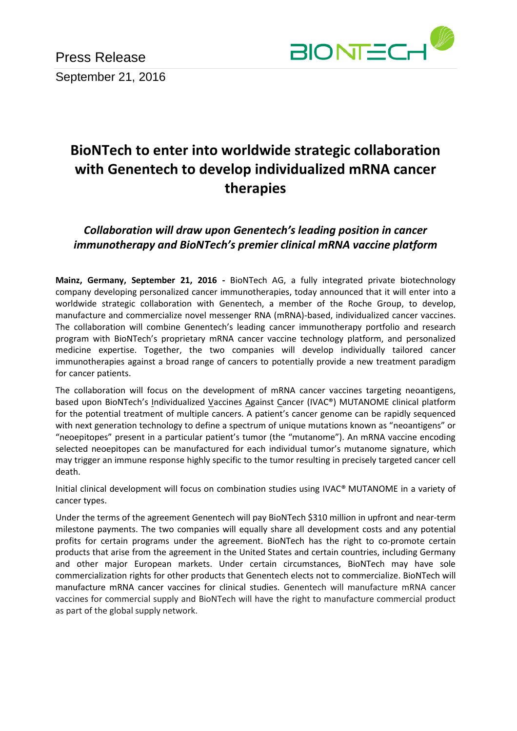Press Release September 21, 2016



## **BioNTech to enter into worldwide strategic collaboration with Genentech to develop individualized mRNA cancer therapies**

*Collaboration will draw upon Genentech's leading position in cancer immunotherapy and BioNTech's premier clinical mRNA vaccine platform*

**Mainz, Germany, September 21, 2016 -** BioNTech AG, a fully integrated private biotechnology company developing personalized cancer immunotherapies, today announced that it will enter into a worldwide strategic collaboration with Genentech, a member of the Roche Group, to develop, manufacture and commercialize novel messenger RNA (mRNA)-based, individualized cancer vaccines. The collaboration will combine Genentech's leading cancer immunotherapy portfolio and research program with BioNTech's proprietary mRNA cancer vaccine technology platform, and personalized medicine expertise. Together, the two companies will develop individually tailored cancer immunotherapies against a broad range of cancers to potentially provide a new treatment paradigm for cancer patients.

The collaboration will focus on the development of mRNA cancer vaccines targeting neoantigens, based upon BioNTech's Individualized Vaccines Against Cancer (IVAC®) MUTANOME clinical platform for the potential treatment of multiple cancers. A patient's cancer genome can be rapidly sequenced with next generation technology to define a spectrum of unique mutations known as "neoantigens" or "neoepitopes" present in a particular patient's tumor (the "mutanome"). An mRNA vaccine encoding selected neoepitopes can be manufactured for each individual tumor's mutanome signature, which may trigger an immune response highly specific to the tumor resulting in precisely targeted cancer cell death.

Initial clinical development will focus on combination studies using IVAC® MUTANOME in a variety of cancer types.

Under the terms of the agreement Genentech will pay BioNTech \$310 million in upfront and near-term milestone payments. The two companies will equally share all development costs and any potential profits for certain programs under the agreement. BioNTech has the right to co-promote certain products that arise from the agreement in the United States and certain countries, including Germany and other major European markets. Under certain circumstances, BioNTech may have sole commercialization rights for other products that Genentech elects not to commercialize. BioNTech will manufacture mRNA cancer vaccines for clinical studies. Genentech will manufacture mRNA cancer vaccines for commercial supply and BioNTech will have the right to manufacture commercial product as part of the global supply network.